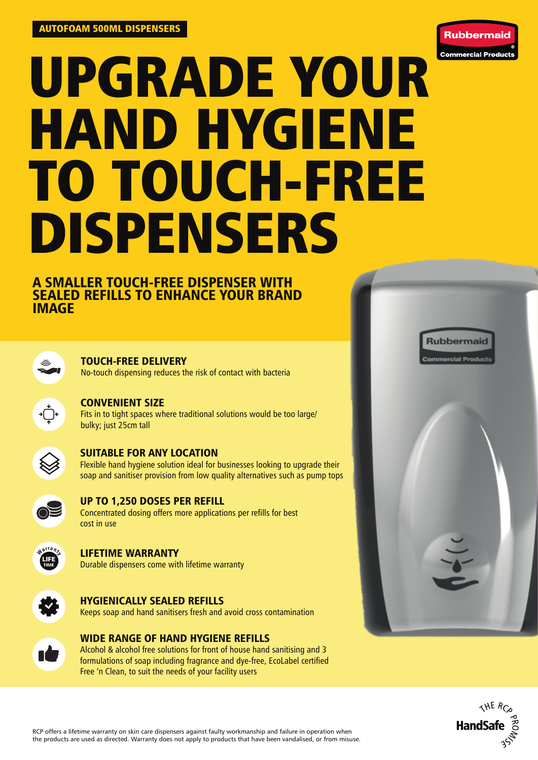

# UPGRADE YOUR HAND HYGIENE TO TOUCH-FREE DISPENSERS

## A SMALLER TOUCH-FREE DISPENSER WITH SEALED REFILLS TO ENHANCE YOUR BRAND IMAGE



## TOUCH-FREE DELIVERY

No-touch dispensing reduces the risk of contact with bacteria



#### CONVENIENT SIZE

Fits in to tight spaces where traditional solutions would be too large/ bulky; just 25cm tall



## SUITABLE FOR ANY LOCATION

Flexible hand hygiene solution ideal for businesses looking to upgrade their soap and sanitiser provision from low quality alternatives such as pump tops



## UP TO 1,250 DOSES PER REFILL

Concentrated dosing offers more applications per refills for best cost in use



#### LIFETIME WARRANTY Durable dispensers come with lifetime warranty



#### HYGIENICALLY SEALED REFILLS Keeps soap and hand sanitisers fresh and avoid cross contamination



## WIDE RANGE OF HAND HYGIENE REFILLS

Alcohol & alcohol free solutions for front of house hand sanitising and 3 formulations of soap including fragrance and dye-free, EcoLabel certified Free 'n Clean, to suit the needs of your facility users